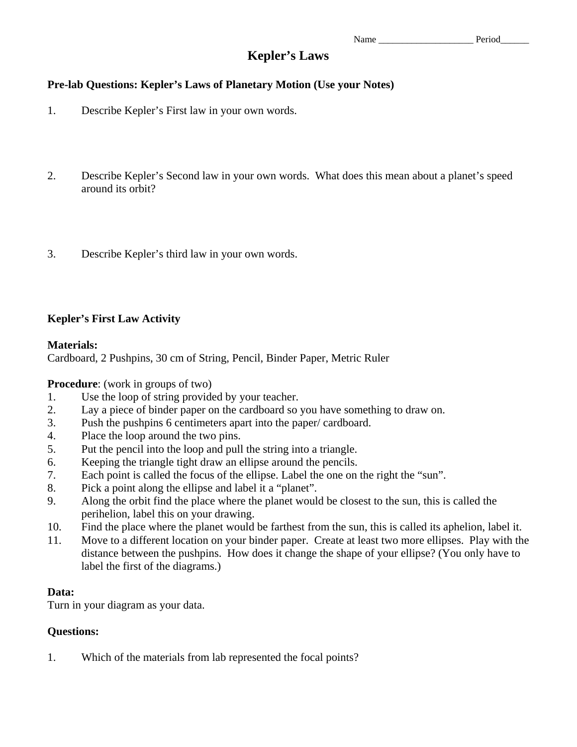# **Kepler's Laws**

# **Pre-lab Questions: Kepler's Laws of Planetary Motion (Use your Notes)**

- 1. Describe Kepler's First law in your own words.
- 2. Describe Kepler's Second law in your own words. What does this mean about a planet's speed around its orbit?
- 3. Describe Kepler's third law in your own words.

# **Kepler's First Law Activity**

## **Materials:**

Cardboard, 2 Pushpins, 30 cm of String, Pencil, Binder Paper, Metric Ruler

# **Procedure**: (work in groups of two)

- 1. Use the loop of string provided by your teacher.
- 2. Lay a piece of binder paper on the cardboard so you have something to draw on.
- 3. Push the pushpins 6 centimeters apart into the paper/ cardboard.
- 4. Place the loop around the two pins.
- 5. Put the pencil into the loop and pull the string into a triangle.
- 6. Keeping the triangle tight draw an ellipse around the pencils.
- 7. Each point is called the focus of the ellipse. Label the one on the right the "sun".
- 8. Pick a point along the ellipse and label it a "planet".
- 9. Along the orbit find the place where the planet would be closest to the sun, this is called the perihelion, label this on your drawing.
- 10. Find the place where the planet would be farthest from the sun, this is called its aphelion, label it.
- 11. Move to a different location on your binder paper. Create at least two more ellipses. Play with the distance between the pushpins. How does it change the shape of your ellipse? (You only have to label the first of the diagrams.)

#### **Data:**

Turn in your diagram as your data.

#### **Questions:**

1. Which of the materials from lab represented the focal points?